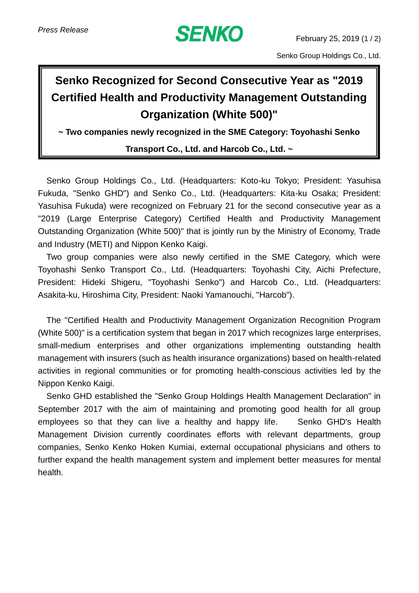

Senko Group Holdings Co., Ltd.

## **Senko Recognized for Second Consecutive Year as "2019 Certified Health and Productivity Management Outstanding Organization (White 500)"**

**~ Two companies newly recognized in the SME Category: Toyohashi Senko** 

## **Transport Co., Ltd. and Harcob Co., Ltd. ~**

Senko Group Holdings Co., Ltd. (Headquarters: Koto-ku Tokyo; President: Yasuhisa Fukuda, "Senko GHD") and Senko Co., Ltd. (Headquarters: Kita-ku Osaka; President: Yasuhisa Fukuda) were recognized on February 21 for the second consecutive year as a "2019 (Large Enterprise Category) Certified Health and Productivity Management Outstanding Organization (White 500)" that is jointly run by the Ministry of Economy, Trade and Industry (METI) and Nippon Kenko Kaigi.

Two group companies were also newly certified in the SME Category, which were Toyohashi Senko Transport Co., Ltd. (Headquarters: Toyohashi City, Aichi Prefecture, President: Hideki Shigeru, "Toyohashi Senko") and Harcob Co., Ltd. (Headquarters: Asakita-ku, Hiroshima City, President: Naoki Yamanouchi, "Harcob").

The "Certified Health and Productivity Management Organization Recognition Program (White 500)" is a certification system that began in 2017 which recognizes large enterprises, small-medium enterprises and other organizations implementing outstanding health management with insurers (such as health insurance organizations) based on health-related activities in regional communities or for promoting health-conscious activities led by the Nippon Kenko Kaigi.

Senko GHD established the "Senko Group Holdings Health Management Declaration" in September 2017 with the aim of maintaining and promoting good health for all group employees so that they can live a healthy and happy life. Senko GHD's Health Management Division currently coordinates efforts with relevant departments, group companies, Senko Kenko Hoken Kumiai, external occupational physicians and others to further expand the health management system and implement better measures for mental health.